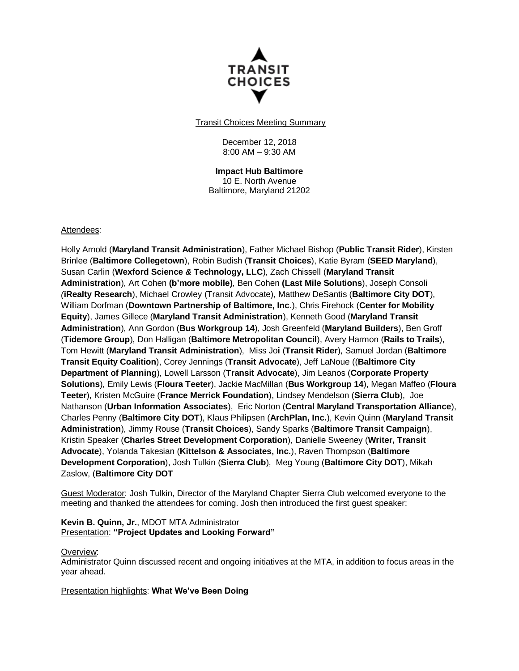

Transit Choices Meeting Summary

December 12, 2018 8:00 AM – 9:30 AM

**Impact Hub Baltimore** 10 E. North Avenue Baltimore, Maryland 21202

#### Attendees:

Holly Arnold (**Maryland Transit Administration**), Father Michael Bishop (**Public Transit Rider**), Kirsten Brinlee (**Baltimore Collegetown**), Robin Budish (**Transit Choices**), Katie Byram (**SEED Maryland**), Susan Carlin (**Wexford Science** *&* **Technology, LLC**), Zach Chissell (**Maryland Transit Administration**), Art Cohen **(b'more mobile)**, Ben Cohen **(Last Mile Solutions**), Joseph Consoli *(***iRealty Research**), Michael Crowley (Transit Advocate), Matthew DeSantis (**Baltimore City DOT**), William Dorfman (**Downtown Partnership of Baltimore, Inc**.), Chris Firehock (**Center for Mobility Equity**), James Gillece (**Maryland Transit Administration**), Kenneth Good (**Maryland Transit Administration**), Ann Gordon (**Bus Workgroup 14**), Josh Greenfeld (**Maryland Builders**), Ben Groff (**Tidemore Group**), Don Halligan (**Baltimore Metropolitan Council**), Avery Harmon (**Rails to Trails**), Tom Hewitt (**Maryland Transit Administration**), Miss Jo**i** (**Transit Rider**), Samuel Jordan (**Baltimore Transit Equity Coalition**), Corey Jennings (**Transit Advocate**), Jeff LaNoue ((**Baltimore City Department of Planning**), Lowell Larsson (**Transit Advocate**), Jim Leanos (**Corporate Property Solutions**), Emily Lewis (**Floura Teeter**), Jackie MacMillan (**Bus Workgroup 14**), Megan Maffeo (**Floura Teeter**), Kristen McGuire (**France Merrick Foundation**), Lindsey Mendelson (**Sierra Club**), Joe Nathanson (**Urban Information Associates**), Eric Norton (**Central Maryland Transportation Alliance**), Charles Penny (**Baltimore City DOT**), Klaus Philipsen (**ArchPlan, Inc.**), Kevin Quinn (**Maryland Transit Administration**), Jimmy Rouse (**Transit Choices**), Sandy Sparks (**Baltimore Transit Campaign**), Kristin Speaker (**Charles Street Development Corporation**), Danielle Sweeney (**Writer, Transit Advocate**), Yolanda Takesian (**Kittelson & Associates, Inc.**), Raven Thompson (**Baltimore Development Corporation**), Josh Tulkin (**Sierra Club**), Meg Young (**Baltimore City DOT**), Mikah Zaslow, (**Baltimore City DOT**

Guest Moderator: Josh Tulkin, Director of the Maryland Chapter Sierra Club welcomed everyone to the meeting and thanked the attendees for coming. Josh then introduced the first guest speaker:

**Kevin B. Quinn, Jr.**, MDOT MTA Administrator Presentation: **"Project Updates and Looking Forward"**

#### Overview:

Administrator Quinn discussed recent and ongoing initiatives at the MTA, in addition to focus areas in the year ahead.

#### Presentation highlights: **What We've Been Doing**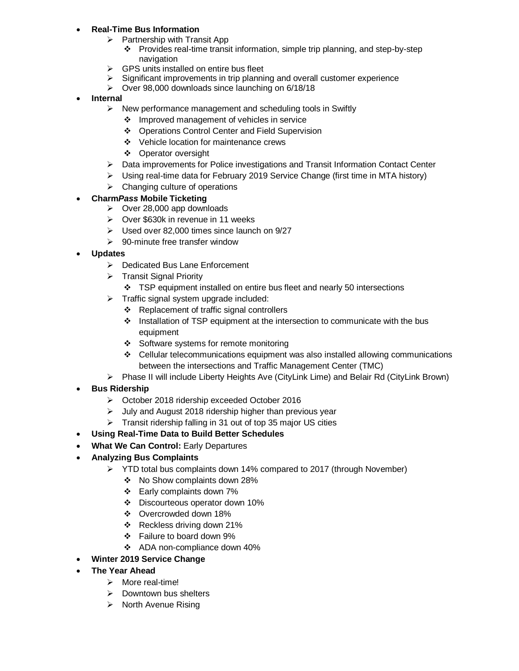# **Real-Time Bus Information**

- $\triangleright$  Partnership with Transit App
	- Provides real-time transit information, simple trip planning, and step-by-step navigation
- $\triangleright$  GPS units installed on entire bus fleet
- $\triangleright$  Significant improvements in trip planning and overall customer experience
- $\triangleright$  Over 98,000 downloads since launching on 6/18/18

### **Internal**

- $\triangleright$  New performance management and scheduling tools in Swiftly
	- ❖ Improved management of vehicles in service
	- Operations Control Center and Field Supervision
	- Vehicle location for maintenance crews
	- ❖ Operator oversight
- $\triangleright$  Data improvements for Police investigations and Transit Information Contact Center
- $\triangleright$  Using real-time data for February 2019 Service Change (first time in MTA history)
- $\triangleright$  Changing culture of operations

# **Charm***Pass* **Mobile Ticketing**

- $\triangleright$  Over 28,000 app downloads
- Over \$630k in revenue in 11 weeks
- $\triangleright$  Used over 82,000 times since launch on 9/27
- $\geq$  90-minute free transfer window
- **Updates**
	- ▶ Dedicated Bus Lane Enforcement
	- $\triangleright$  Transit Signal Priority
		- TSP equipment installed on entire bus fleet and nearly 50 intersections
	- $\triangleright$  Traffic signal system upgrade included:
		- Replacement of traffic signal controllers
		- \* Installation of TSP equipment at the intersection to communicate with the bus equipment
		- Software systems for remote monitoring
		- $\div$  Cellular telecommunications equipment was also installed allowing communications between the intersections and Traffic Management Center (TMC)
	- Phase II will include Liberty Heights Ave (CityLink Lime) and Belair Rd (CityLink Brown)
- **Bus Ridership**
	- October 2018 ridership exceeded October 2016
	- $\triangleright$  July and August 2018 ridership higher than previous year
	- $\triangleright$  Transit ridership falling in 31 out of top 35 major US cities
- **Using Real-Time Data to Build Better Schedules**
- **What We Can Control: Early Departures**
- **Analyzing Bus Complaints**
	- $\triangleright$  YTD total bus complaints down 14% compared to 2017 (through November)
		- No Show complaints down 28%
		- Early complaints down 7%
		- Discourteous operator down 10%
		- Overcrowded down 18%
		- $\div$  Reckless driving down 21%
		- Failure to board down 9%
		- ADA non-compliance down 40%
- **Winter 2019 Service Change**
- **The Year Ahead**
	- > More real-time!
	- $\triangleright$  Downtown bus shelters
	- $\triangleright$  North Avenue Rising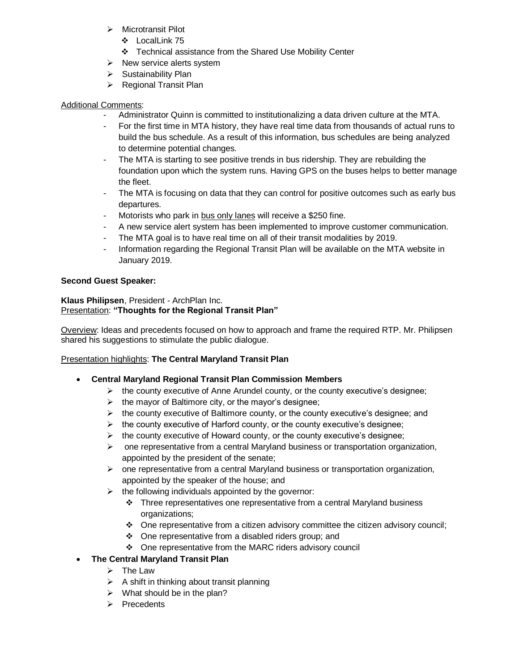- $\triangleright$  Microtransit Pilot
	- LocalLink 75
	- Technical assistance from the Shared Use Mobility Center
- $\triangleright$  New service alerts system
- $\triangleright$  Sustainability Plan
- $\triangleright$  Regional Transit Plan

# Additional Comments:

- Administrator Quinn is committed to institutionalizing a data driven culture at the MTA.
- For the first time in MTA history, they have real time data from thousands of actual runs to build the bus schedule. As a result of this information, bus schedules are being analyzed to determine potential changes.
- The MTA is starting to see positive trends in bus ridership. They are rebuilding the foundation upon which the system runs. Having GPS on the buses helps to better manage the fleet.
- The MTA is focusing on data that they can control for positive outcomes such as early bus departures.
- Motorists who park in bus only lanes will receive a \$250 fine.
- A new service alert system has been implemented to improve customer communication.
- The MTA goal is to have real time on all of their transit modalities by 2019.
- Information regarding the Regional Transit Plan will be available on the MTA website in January 2019.

### **Second Guest Speaker:**

#### **Klaus Philipsen**, President - ArchPlan Inc. Presentation: **"Thoughts for the Regional Transit Plan"**

Overview: Ideas and precedents focused on how to approach and frame the required RTP. Mr. Philipsen shared his suggestions to stimulate the public dialogue.

# Presentation highlights: **The Central Maryland Transit Plan**

- **Central Maryland Regional Transit Plan Commission Members**
	- $\triangleright$  the county executive of Anne Arundel county, or the county executive's designee;
	- $\triangleright$  the mayor of Baltimore city, or the mayor's designee;
	- $\triangleright$  the county executive of Baltimore county, or the county executive's designee; and
	- $\triangleright$  the county executive of Harford county, or the county executive's designee;
	- $\triangleright$  the county executive of Howard county, or the county executive's designee;
	- $\triangleright$  one representative from a central Maryland business or transportation organization, appointed by the president of the senate;
	- $\triangleright$  one representative from a central Maryland business or transportation organization, appointed by the speaker of the house; and
	- $\triangleright$  the following individuals appointed by the governor:
		- \* Three representatives one representative from a central Maryland business organizations;
		- $\div$  One representative from a citizen advisory committee the citizen advisory council;
		- $\div$  One representative from a disabled riders group; and
		- One representative from the MARC riders advisory council
- **The Central Maryland Transit Plan**
	- $\triangleright$  The Law
	- $\triangleright$  A shift in thinking about transit planning
	- $\triangleright$  What should be in the plan?
	- $\triangleright$  Precedents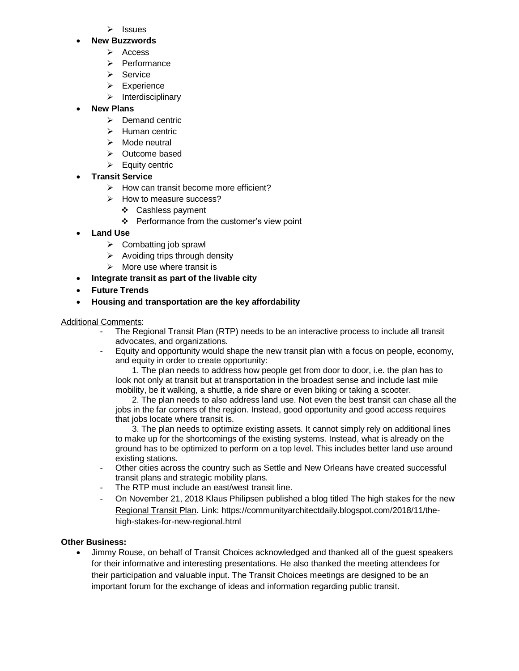$\triangleright$  Issues

#### **New Buzzwords**

- $\triangleright$  Access
- $\triangleright$  Performance
- $\triangleright$  Service
- $\triangleright$  Experience
- $\triangleright$  Interdisciplinary

# **New Plans**

- $\triangleright$  Demand centric
- $\triangleright$  Human centric
- $\triangleright$  Mode neutral
- Outcome based
- $\triangleright$  Equity centric
- **Transit Service**
	- $\triangleright$  How can transit become more efficient?
	- $\triangleright$  How to measure success?
		- Cashless payment
		- $\div$  Performance from the customer's view point
- **Land Use**
	- $\triangleright$  Combatting job sprawl
	- $\triangleright$  Avoiding trips through density
	- $\triangleright$  More use where transit is
	- **Integrate transit as part of the livable city**
- **Future Trends**
- **Housing and transportation are the key affordability**

### Additional Comments:

- The Regional Transit Plan (RTP) needs to be an interactive process to include all transit advocates, and organizations.
- Equity and opportunity would shape the new transit plan with a focus on people, economy, and equity in order to create opportunity:

 1. The plan needs to address how people get from door to door, i.e. the plan has to look not only at transit but at transportation in the broadest sense and include last mile mobility, be it walking, a shuttle, a ride share or even biking or taking a scooter.

 2. The plan needs to also address land use. Not even the best transit can chase all the jobs in the far corners of the region. Instead, good opportunity and good access requires that jobs locate where transit is.

 3. The plan needs to optimize existing assets. It cannot simply rely on additional lines to make up for the shortcomings of the existing systems. Instead, what is already on the ground has to be optimized to perform on a top level. This includes better land use around existing stations.

- Other cities across the country such as Settle and New Orleans have created successful transit plans and strategic mobility plans.
- The RTP must include an east/west transit line.
- On November 21, 2018 Klaus Philipsen published a blog titled The high stakes for the new Regional Transit Plan. Link: https://communityarchitectdaily.blogspot.com/2018/11/thehigh-stakes-for-new-regional.html

### **Other Business:**

 Jimmy Rouse, on behalf of Transit Choices acknowledged and thanked all of the guest speakers for their informative and interesting presentations. He also thanked the meeting attendees for their participation and valuable input. The Transit Choices meetings are designed to be an important forum for the exchange of ideas and information regarding public transit.